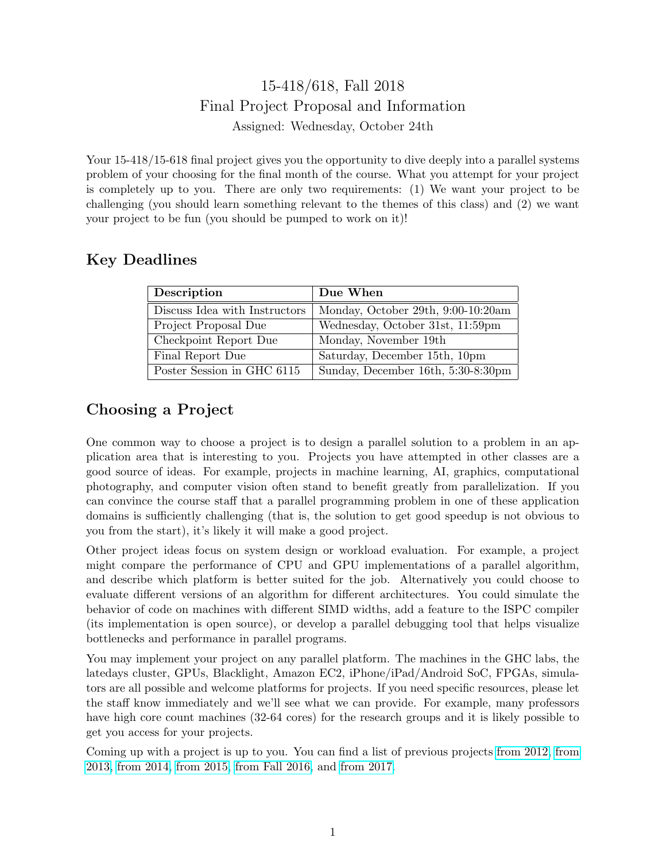## 15-418/618, Fall 2018 Final Project Proposal and Information Assigned: Wednesday, October 24th

Your 15-418/15-618 final project gives you the opportunity to dive deeply into a parallel systems problem of your choosing for the final month of the course. What you attempt for your project is completely up to you. There are only two requirements: (1) We want your project to be challenging (you should learn something relevant to the themes of this class) and (2) we want your project to be fun (you should be pumped to work on it)!

#### Key Deadlines

| Description                   | Due When                           |
|-------------------------------|------------------------------------|
| Discuss Idea with Instructors | Monday, October 29th, 9:00-10:20am |
| Project Proposal Due          | Wednesday, October 31st, 11:59pm   |
| Checkpoint Report Due         | Monday, November 19th              |
| Final Report Due              | Saturday, December 15th, 10pm      |
| Poster Session in GHC 6115    | Sunday, December 16th, 5:30-8:30pm |

# Choosing a Project

One common way to choose a project is to design a parallel solution to a problem in an application area that is interesting to you. Projects you have attempted in other classes are a good source of ideas. For example, projects in machine learning, AI, graphics, computational photography, and computer vision often stand to benefit greatly from parallelization. If you can convince the course staff that a parallel programming problem in one of these application domains is sufficiently challenging (that is, the solution to get good speedup is not obvious to you from the start), it's likely it will make a good project.

Other project ideas focus on system design or workload evaluation. For example, a project might compare the performance of CPU and GPU implementations of a parallel algorithm, and describe which platform is better suited for the job. Alternatively you could choose to evaluate different versions of an algorithm for different architectures. You could simulate the behavior of code on machines with different SIMD widths, add a feature to the ISPC compiler (its implementation is open source), or develop a parallel debugging tool that helps visualize bottlenecks and performance in parallel programs.

You may implement your project on any parallel platform. The machines in the GHC labs, the latedays cluster, GPUs, Blacklight, Amazon EC2, iPhone/iPad/Android SoC, FPGAs, simulators are all possible and welcome platforms for projects. If you need specific resources, please let the staff know immediately and we'll see what we can provide. For example, many professors have high core count machines (32-64 cores) for the research groups and it is likely possible to get you access for your projects.

Coming up with a project is up to you. You can find a list of previous projects [from 2012,](http://www.cs.cmu.edu/afs/cs/academic/class/15418-s12/www/competition/projectlist.html) [from](http://15418.courses.cs.cmu.edu/spring2013/article/34) [2013,](http://15418.courses.cs.cmu.edu/spring2013/article/34) [from 2014,](http://15418.courses.cs.cmu.edu/spring2014/competition) [from 2015,](http://15418.courses.cs.cmu.edu/spring2015/competition) [from Fall 2016,](http://15418.courses.cs.cmu.edu/fall2016/article/13) and [from 2017.](http://15418.courses.cs.cmu.edu/fall2017/article/10)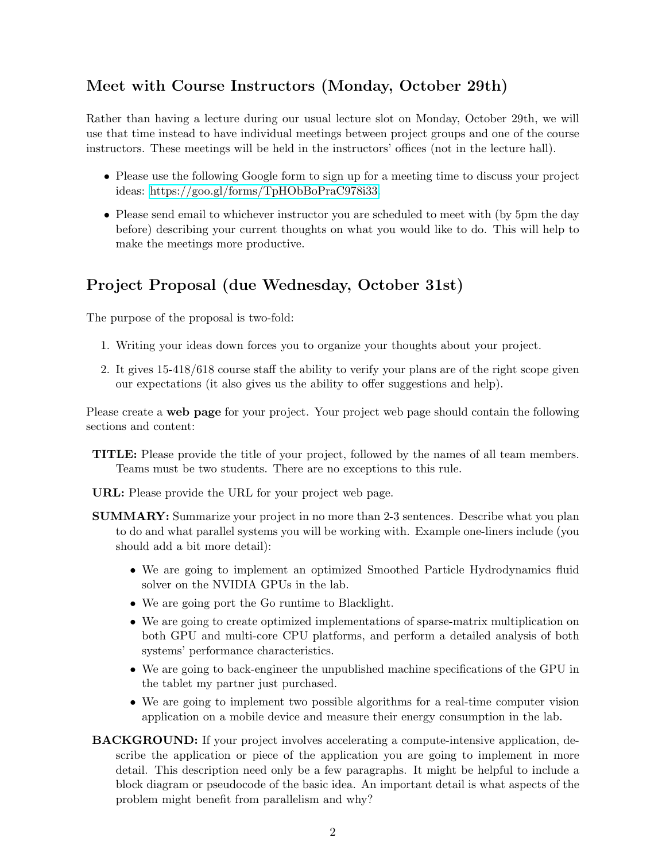### Meet with Course Instructors (Monday, October 29th)

Rather than having a lecture during our usual lecture slot on Monday, October 29th, we will use that time instead to have individual meetings between project groups and one of the course instructors. These meetings will be held in the instructors' offices (not in the lecture hall).

- Please use the following Google form to sign up for a meeting time to discuss your project ideas: [https://goo.gl/forms/TpHObBoPraC978i33.](https://goo.gl/forms/TpHObBoPraC978i33)
- Please send email to whichever instructor you are scheduled to meet with (by 5pm the day before) describing your current thoughts on what you would like to do. This will help to make the meetings more productive.

#### Project Proposal (due Wednesday, October 31st)

The purpose of the proposal is two-fold:

- 1. Writing your ideas down forces you to organize your thoughts about your project.
- 2. It gives 15-418/618 course staff the ability to verify your plans are of the right scope given our expectations (it also gives us the ability to offer suggestions and help).

Please create a web page for your project. Your project web page should contain the following sections and content:

- TITLE: Please provide the title of your project, followed by the names of all team members. Teams must be two students. There are no exceptions to this rule.
- URL: Please provide the URL for your project web page.
- SUMMARY: Summarize your project in no more than 2-3 sentences. Describe what you plan to do and what parallel systems you will be working with. Example one-liners include (you should add a bit more detail):
	- We are going to implement an optimized Smoothed Particle Hydrodynamics fluid solver on the NVIDIA GPUs in the lab.
	- We are going port the Go runtime to Blacklight.
	- We are going to create optimized implementations of sparse-matrix multiplication on both GPU and multi-core CPU platforms, and perform a detailed analysis of both systems' performance characteristics.
	- We are going to back-engineer the unpublished machine specifications of the GPU in the tablet my partner just purchased.
	- We are going to implement two possible algorithms for a real-time computer vision application on a mobile device and measure their energy consumption in the lab.
- BACKGROUND: If your project involves accelerating a compute-intensive application, describe the application or piece of the application you are going to implement in more detail. This description need only be a few paragraphs. It might be helpful to include a block diagram or pseudocode of the basic idea. An important detail is what aspects of the problem might benefit from parallelism and why?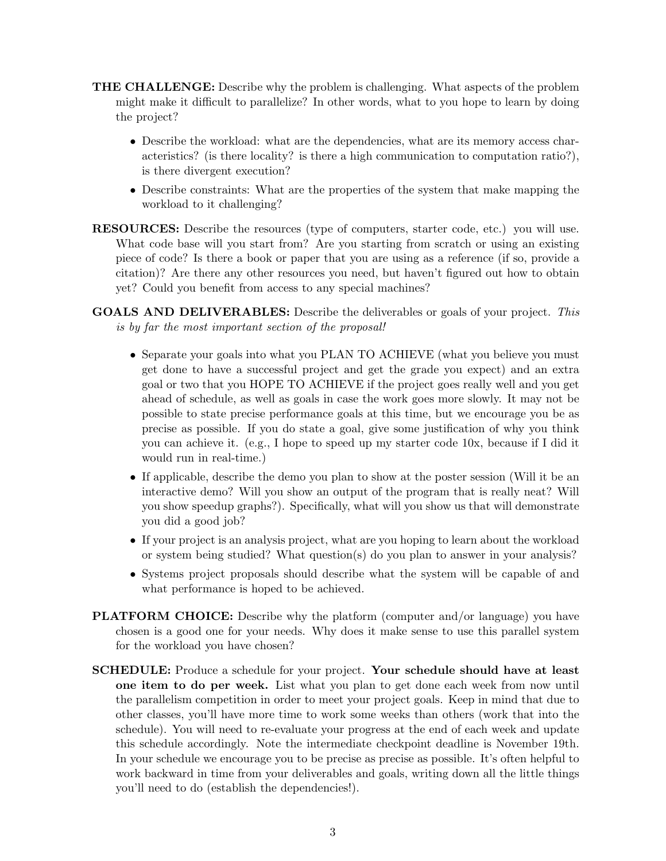- THE CHALLENGE: Describe why the problem is challenging. What aspects of the problem might make it difficult to parallelize? In other words, what to you hope to learn by doing the project?
	- Describe the workload: what are the dependencies, what are its memory access characteristics? (is there locality? is there a high communication to computation ratio?), is there divergent execution?
	- Describe constraints: What are the properties of the system that make mapping the workload to it challenging?
- RESOURCES: Describe the resources (type of computers, starter code, etc.) you will use. What code base will you start from? Are you starting from scratch or using an existing piece of code? Is there a book or paper that you are using as a reference (if so, provide a citation)? Are there any other resources you need, but haven't figured out how to obtain yet? Could you benefit from access to any special machines?
- GOALS AND DELIVERABLES: Describe the deliverables or goals of your project. This is by far the most important section of the proposal!
	- Separate your goals into what you PLAN TO ACHIEVE (what you believe you must get done to have a successful project and get the grade you expect) and an extra goal or two that you HOPE TO ACHIEVE if the project goes really well and you get ahead of schedule, as well as goals in case the work goes more slowly. It may not be possible to state precise performance goals at this time, but we encourage you be as precise as possible. If you do state a goal, give some justification of why you think you can achieve it. (e.g., I hope to speed up my starter code 10x, because if I did it would run in real-time.)
	- If applicable, describe the demo you plan to show at the poster session (Will it be an interactive demo? Will you show an output of the program that is really neat? Will you show speedup graphs?). Specifically, what will you show us that will demonstrate you did a good job?
	- If your project is an analysis project, what are you hoping to learn about the workload or system being studied? What question(s) do you plan to answer in your analysis?
	- Systems project proposals should describe what the system will be capable of and what performance is hoped to be achieved.
- PLATFORM CHOICE: Describe why the platform (computer and/or language) you have chosen is a good one for your needs. Why does it make sense to use this parallel system for the workload you have chosen?
- SCHEDULE: Produce a schedule for your project. Your schedule should have at least one item to do per week. List what you plan to get done each week from now until the parallelism competition in order to meet your project goals. Keep in mind that due to other classes, you'll have more time to work some weeks than others (work that into the schedule). You will need to re-evaluate your progress at the end of each week and update this schedule accordingly. Note the intermediate checkpoint deadline is November 19th. In your schedule we encourage you to be precise as precise as possible. It's often helpful to work backward in time from your deliverables and goals, writing down all the little things you'll need to do (establish the dependencies!).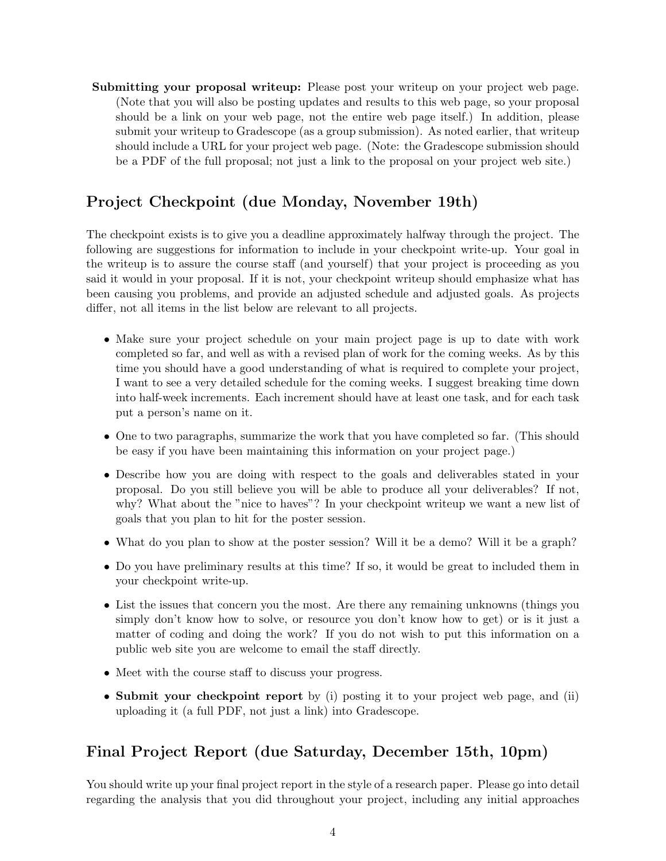Submitting your proposal writeup: Please post your writeup on your project web page. (Note that you will also be posting updates and results to this web page, so your proposal should be a link on your web page, not the entire web page itself.) In addition, please submit your writeup to Gradescope (as a group submission). As noted earlier, that writeup should include a URL for your project web page. (Note: the Gradescope submission should be a PDF of the full proposal; not just a link to the proposal on your project web site.)

#### Project Checkpoint (due Monday, November 19th)

The checkpoint exists is to give you a deadline approximately halfway through the project. The following are suggestions for information to include in your checkpoint write-up. Your goal in the writeup is to assure the course staff (and yourself) that your project is proceeding as you said it would in your proposal. If it is not, your checkpoint writeup should emphasize what has been causing you problems, and provide an adjusted schedule and adjusted goals. As projects differ, not all items in the list below are relevant to all projects.

- Make sure your project schedule on your main project page is up to date with work completed so far, and well as with a revised plan of work for the coming weeks. As by this time you should have a good understanding of what is required to complete your project, I want to see a very detailed schedule for the coming weeks. I suggest breaking time down into half-week increments. Each increment should have at least one task, and for each task put a person's name on it.
- One to two paragraphs, summarize the work that you have completed so far. (This should be easy if you have been maintaining this information on your project page.)
- Describe how you are doing with respect to the goals and deliverables stated in your proposal. Do you still believe you will be able to produce all your deliverables? If not, why? What about the "nice to haves"? In your checkpoint writeup we want a new list of goals that you plan to hit for the poster session.
- What do you plan to show at the poster session? Will it be a demo? Will it be a graph?
- Do you have preliminary results at this time? If so, it would be great to included them in your checkpoint write-up.
- List the issues that concern you the most. Are there any remaining unknowns (things you simply don't know how to solve, or resource you don't know how to get) or is it just a matter of coding and doing the work? If you do not wish to put this information on a public web site you are welcome to email the staff directly.
- Meet with the course staff to discuss your progress.
- Submit your checkpoint report by (i) posting it to your project web page, and (ii) uploading it (a full PDF, not just a link) into Gradescope.

#### Final Project Report (due Saturday, December 15th, 10pm)

You should write up your final project report in the style of a research paper. Please go into detail regarding the analysis that you did throughout your project, including any initial approaches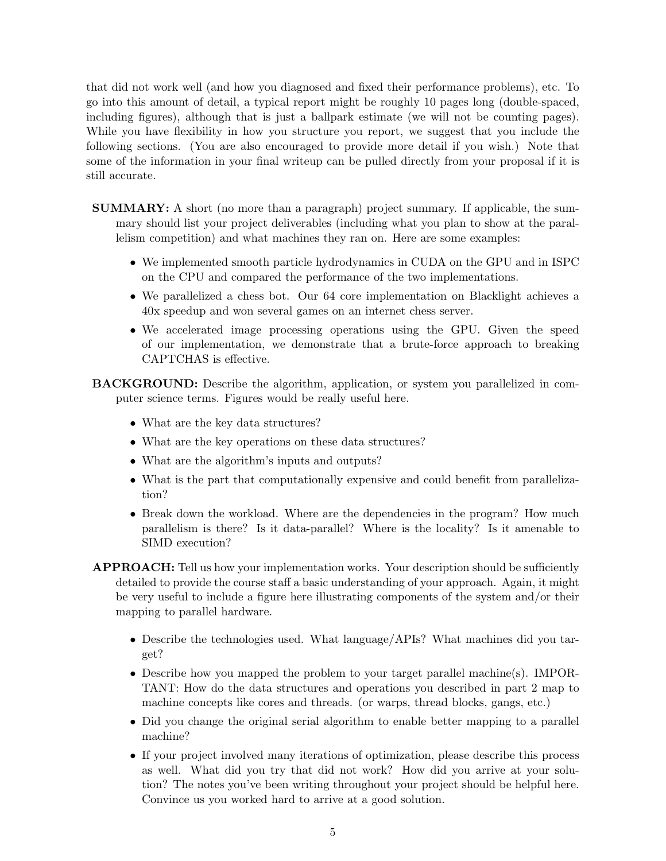that did not work well (and how you diagnosed and fixed their performance problems), etc. To go into this amount of detail, a typical report might be roughly 10 pages long (double-spaced, including figures), although that is just a ballpark estimate (we will not be counting pages). While you have flexibility in how you structure you report, we suggest that you include the following sections. (You are also encouraged to provide more detail if you wish.) Note that some of the information in your final writeup can be pulled directly from your proposal if it is still accurate.

- SUMMARY: A short (no more than a paragraph) project summary. If applicable, the summary should list your project deliverables (including what you plan to show at the parallelism competition) and what machines they ran on. Here are some examples:
	- We implemented smooth particle hydrodynamics in CUDA on the GPU and in ISPC on the CPU and compared the performance of the two implementations.
	- We parallelized a chess bot. Our 64 core implementation on Blacklight achieves a 40x speedup and won several games on an internet chess server.
	- We accelerated image processing operations using the GPU. Given the speed of our implementation, we demonstrate that a brute-force approach to breaking CAPTCHAS is effective.
- BACKGROUND: Describe the algorithm, application, or system you parallelized in computer science terms. Figures would be really useful here.
	- What are the key data structures?
	- What are the key operations on these data structures?
	- What are the algorithm's inputs and outputs?
	- What is the part that computationally expensive and could benefit from parallelization?
	- Break down the workload. Where are the dependencies in the program? How much parallelism is there? Is it data-parallel? Where is the locality? Is it amenable to SIMD execution?
- APPROACH: Tell us how your implementation works. Your description should be sufficiently detailed to provide the course staff a basic understanding of your approach. Again, it might be very useful to include a figure here illustrating components of the system and/or their mapping to parallel hardware.
	- Describe the technologies used. What language/APIs? What machines did you target?
	- Describe how you mapped the problem to your target parallel machine(s). IMPOR-TANT: How do the data structures and operations you described in part 2 map to machine concepts like cores and threads. (or warps, thread blocks, gangs, etc.)
	- Did you change the original serial algorithm to enable better mapping to a parallel machine?
	- If your project involved many iterations of optimization, please describe this process as well. What did you try that did not work? How did you arrive at your solution? The notes you've been writing throughout your project should be helpful here. Convince us you worked hard to arrive at a good solution.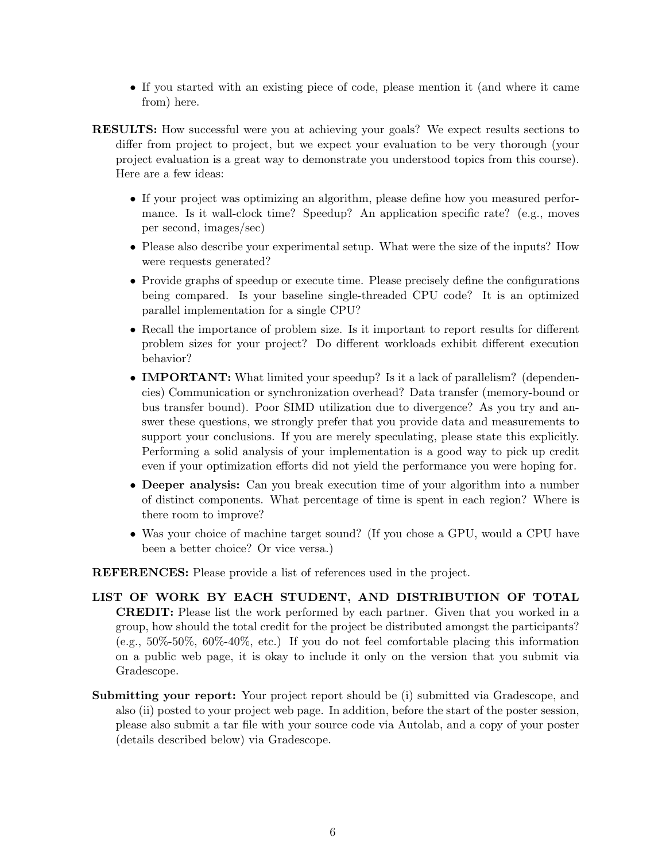- If you started with an existing piece of code, please mention it (and where it came from) here.
- RESULTS: How successful were you at achieving your goals? We expect results sections to differ from project to project, but we expect your evaluation to be very thorough (your project evaluation is a great way to demonstrate you understood topics from this course). Here are a few ideas:
	- If your project was optimizing an algorithm, please define how you measured performance. Is it wall-clock time? Speedup? An application specific rate? (e.g., moves per second, images/sec)
	- Please also describe your experimental setup. What were the size of the inputs? How were requests generated?
	- Provide graphs of speedup or execute time. Please precisely define the configurations being compared. Is your baseline single-threaded CPU code? It is an optimized parallel implementation for a single CPU?
	- Recall the importance of problem size. Is it important to report results for different problem sizes for your project? Do different workloads exhibit different execution behavior?
	- **IMPORTANT:** What limited your speedup? Is it a lack of parallelism? (dependencies) Communication or synchronization overhead? Data transfer (memory-bound or bus transfer bound). Poor SIMD utilization due to divergence? As you try and answer these questions, we strongly prefer that you provide data and measurements to support your conclusions. If you are merely speculating, please state this explicitly. Performing a solid analysis of your implementation is a good way to pick up credit even if your optimization efforts did not yield the performance you were hoping for.
	- Deeper analysis: Can you break execution time of your algorithm into a number of distinct components. What percentage of time is spent in each region? Where is there room to improve?
	- Was your choice of machine target sound? (If you chose a GPU, would a CPU have been a better choice? Or vice versa.)

REFERENCES: Please provide a list of references used in the project.

- LIST OF WORK BY EACH STUDENT, AND DISTRIBUTION OF TOTAL CREDIT: Please list the work performed by each partner. Given that you worked in a group, how should the total credit for the project be distributed amongst the participants? (e.g., 50%-50%, 60%-40%, etc.) If you do not feel comfortable placing this information on a public web page, it is okay to include it only on the version that you submit via Gradescope.
- Submitting your report: Your project report should be (i) submitted via Gradescope, and also (ii) posted to your project web page. In addition, before the start of the poster session, please also submit a tar file with your source code via Autolab, and a copy of your poster (details described below) via Gradescope.